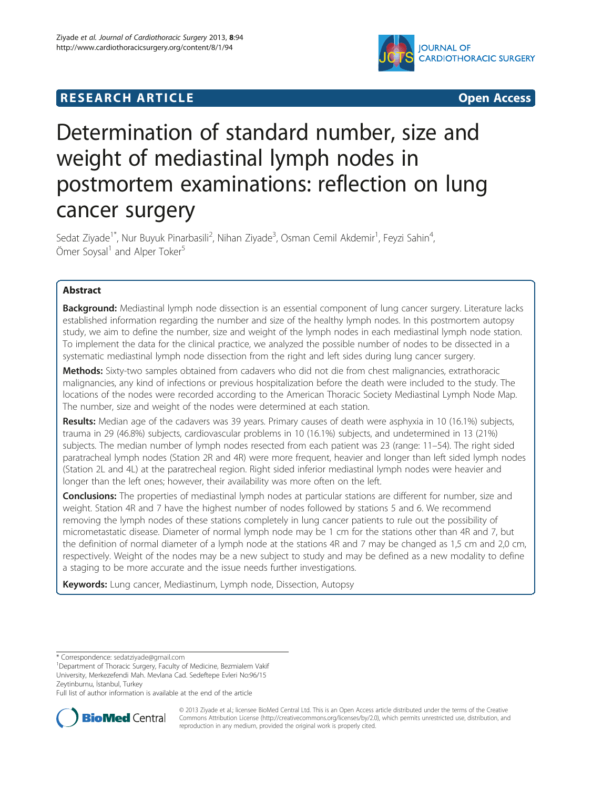## **RESEARCH ARTICLE Example 2014 12:30 THE Open Access**



# Determination of standard number, size and weight of mediastinal lymph nodes in postmortem examinations: reflection on lung cancer surgery

Sedat Ziyade<sup>1\*</sup>, Nur Buyuk Pinarbasili<sup>2</sup>, Nihan Ziyade<sup>3</sup>, Osman Cemil Akdemir<sup>1</sup>, Feyzi Sahin<sup>4</sup> , Ömer Soysal<sup>1</sup> and Alper Toker<sup>5</sup>

## Abstract

Background: Mediastinal lymph node dissection is an essential component of lung cancer surgery. Literature lacks established information regarding the number and size of the healthy lymph nodes. In this postmortem autopsy study, we aim to define the number, size and weight of the lymph nodes in each mediastinal lymph node station. To implement the data for the clinical practice, we analyzed the possible number of nodes to be dissected in a systematic mediastinal lymph node dissection from the right and left sides during lung cancer surgery.

Methods: Sixty-two samples obtained from cadavers who did not die from chest malignancies, extrathoracic malignancies, any kind of infections or previous hospitalization before the death were included to the study. The locations of the nodes were recorded according to the American Thoracic Society Mediastinal Lymph Node Map. The number, size and weight of the nodes were determined at each station.

Results: Median age of the cadavers was 39 years. Primary causes of death were asphyxia in 10 (16.1%) subjects, trauma in 29 (46.8%) subjects, cardiovascular problems in 10 (16.1%) subjects, and undetermined in 13 (21%) subjects. The median number of lymph nodes resected from each patient was 23 (range: 11–54). The right sided paratracheal lymph nodes (Station 2R and 4R) were more frequent, heavier and longer than left sided lymph nodes (Station 2L and 4L) at the paratrecheal region. Right sided inferior mediastinal lymph nodes were heavier and longer than the left ones; however, their availability was more often on the left.

**Conclusions:** The properties of mediastinal lymph nodes at particular stations are different for number, size and weight. Station 4R and 7 have the highest number of nodes followed by stations 5 and 6. We recommend removing the lymph nodes of these stations completely in lung cancer patients to rule out the possibility of micrometastatic disease. Diameter of normal lymph node may be 1 cm for the stations other than 4R and 7, but the definition of normal diameter of a lymph node at the stations 4R and 7 may be changed as 1,5 cm and 2,0 cm, respectively. Weight of the nodes may be a new subject to study and may be defined as a new modality to define a staging to be more accurate and the issue needs further investigations.

Keywords: Lung cancer, Mediastinum, Lymph node, Dissection, Autopsy

Full list of author information is available at the end of the article



© 2013 Ziyade et al.; licensee BioMed Central Ltd. This is an Open Access article distributed under the terms of the Creative Commons Attribution License [\(http://creativecommons.org/licenses/by/2.0\)](http://creativecommons.org/licenses/by/2.0), which permits unrestricted use, distribution, and reproduction in any medium, provided the original work is properly cited.

<sup>\*</sup> Correspondence: [sedatziyade@gmail.com](mailto:sedatziyade@gmail.com) <sup>1</sup>

<sup>&</sup>lt;sup>1</sup>Department of Thoracic Surgery, Faculty of Medicine, Bezmialem Vakif University, Merkezefendi Mah. Mevlana Cad. Sedeftepe Evleri No:96/15 Zeytinburnu, İstanbul, Turkey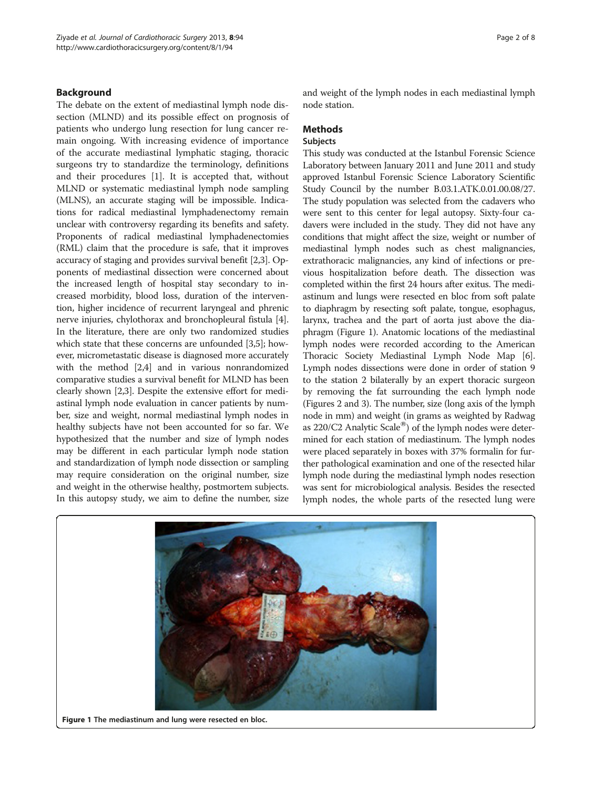## Background

The debate on the extent of mediastinal lymph node dissection (MLND) and its possible effect on prognosis of patients who undergo lung resection for lung cancer remain ongoing. With increasing evidence of importance of the accurate mediastinal lymphatic staging, thoracic surgeons try to standardize the terminology, definitions and their procedures [\[1](#page-7-0)]. It is accepted that, without MLND or systematic mediastinal lymph node sampling (MLNS), an accurate staging will be impossible. Indications for radical mediastinal lymphadenectomy remain unclear with controversy regarding its benefits and safety. Proponents of radical mediastinal lymphadenectomies (RML) claim that the procedure is safe, that it improves accuracy of staging and provides survival benefit [[2,3\]](#page-7-0). Opponents of mediastinal dissection were concerned about the increased length of hospital stay secondary to increased morbidity, blood loss, duration of the intervention, higher incidence of recurrent laryngeal and phrenic nerve injuries, chylothorax and bronchopleural fistula [[4](#page-7-0)]. In the literature, there are only two randomized studies which state that these concerns are unfounded [\[3,5](#page-7-0)]; however, micrometastatic disease is diagnosed more accurately with the method [\[2,4\]](#page-7-0) and in various nonrandomized comparative studies a survival benefit for MLND has been clearly shown [\[2,3\]](#page-7-0). Despite the extensive effort for mediastinal lymph node evaluation in cancer patients by number, size and weight, normal mediastinal lymph nodes in healthy subjects have not been accounted for so far. We hypothesized that the number and size of lymph nodes may be different in each particular lymph node station and standardization of lymph node dissection or sampling may require consideration on the original number, size and weight in the otherwise healthy, postmortem subjects. In this autopsy study, we aim to define the number, size and weight of the lymph nodes in each mediastinal lymph node station.

## **Methods**

#### Subjects

This study was conducted at the Istanbul Forensic Science Laboratory between January 2011 and June 2011 and study approved Istanbul Forensic Science Laboratory Scientific Study Council by the number B.03.1.ATK.0.01.00.08/27. The study population was selected from the cadavers who were sent to this center for legal autopsy. Sixty-four cadavers were included in the study. They did not have any conditions that might affect the size, weight or number of mediastinal lymph nodes such as chest malignancies, extrathoracic malignancies, any kind of infections or previous hospitalization before death. The dissection was completed within the first 24 hours after exitus. The mediastinum and lungs were resected en bloc from soft palate to diaphragm by resecting soft palate, tongue, esophagus, larynx, trachea and the part of aorta just above the diaphragm (Figure 1). Anatomic locations of the mediastinal lymph nodes were recorded according to the American Thoracic Society Mediastinal Lymph Node Map [[6](#page-7-0)]. Lymph nodes dissections were done in order of station 9 to the station 2 bilaterally by an expert thoracic surgeon by removing the fat surrounding the each lymph node (Figures [2](#page-2-0) and [3\)](#page-2-0). The number, size (long axis of the lymph node in mm) and weight (in grams as weighted by Radwag as  $220/C2$  Analytic Scale<sup>®</sup>) of the lymph nodes were determined for each station of mediastinum. The lymph nodes were placed separately in boxes with 37% formalin for further pathological examination and one of the resected hilar lymph node during the mediastinal lymph nodes resection was sent for microbiological analysis. Besides the resected lymph nodes, the whole parts of the resected lung were

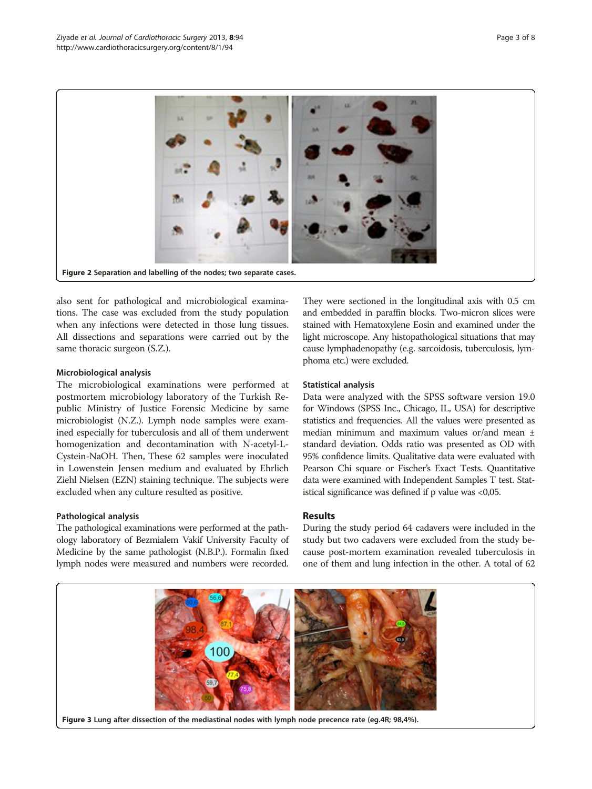<span id="page-2-0"></span>

also sent for pathological and microbiological examinations. The case was excluded from the study population when any infections were detected in those lung tissues. All dissections and separations were carried out by the same thoracic surgeon (S.Z.).

## Microbiological analysis

The microbiological examinations were performed at postmortem microbiology laboratory of the Turkish Republic Ministry of Justice Forensic Medicine by same microbiologist (N.Z.). Lymph node samples were examined especially for tuberculosis and all of them underwent homogenization and decontamination with N-acetyl-L-Cystein-NaOH. Then, These 62 samples were inoculated in Lowenstein Jensen medium and evaluated by Ehrlich Ziehl Nielsen (EZN) staining technique. The subjects were excluded when any culture resulted as positive.

## Pathological analysis

The pathological examinations were performed at the pathology laboratory of Bezmialem Vakif University Faculty of Medicine by the same pathologist (N.B.P.). Formalin fixed lymph nodes were measured and numbers were recorded.

They were sectioned in the longitudinal axis with 0.5 cm and embedded in paraffin blocks. Two-micron slices were stained with Hematoxylene Eosin and examined under the light microscope. Any histopathological situations that may cause lymphadenopathy (e.g. sarcoidosis, tuberculosis, lymphoma etc.) were excluded.

## Statistical analysis

Data were analyzed with the SPSS software version 19.0 for Windows (SPSS Inc., Chicago, IL, USA) for descriptive statistics and frequencies. All the values were presented as median minimum and maximum values or/and mean ± standard deviation. Odds ratio was presented as OD with 95% confidence limits. Qualitative data were evaluated with Pearson Chi square or Fischer's Exact Tests. Quantitative data were examined with Independent Samples T test. Statistical significance was defined if p value was <0,05.

## Results

During the study period 64 cadavers were included in the study but two cadavers were excluded from the study because post-mortem examination revealed tuberculosis in one of them and lung infection in the other. A total of 62

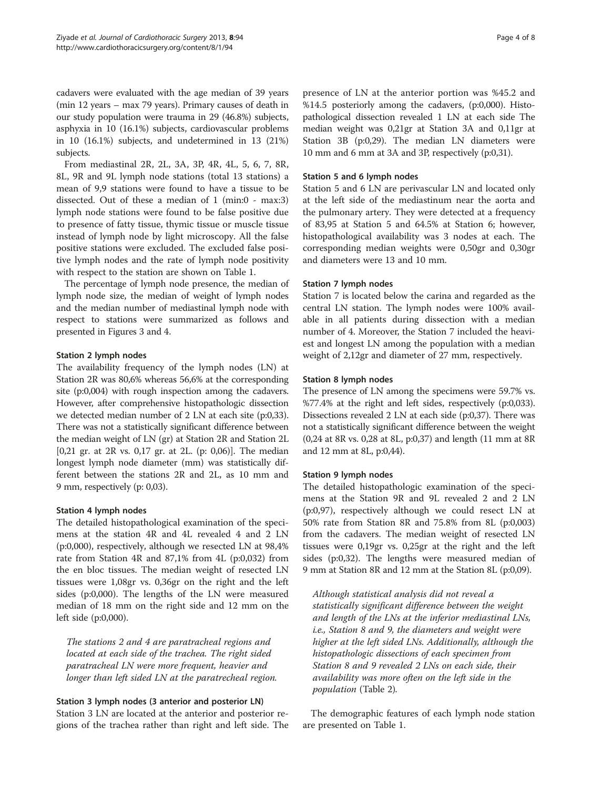cadavers were evaluated with the age median of 39 years (min 12 years – max 79 years). Primary causes of death in our study population were trauma in 29 (46.8%) subjects, asphyxia in 10 (16.1%) subjects, cardiovascular problems in 10 (16.1%) subjects, and undetermined in 13 (21%) subjects.

From mediastinal 2R, 2L, 3A, 3P, 4R, 4L, 5, 6, 7, 8R, 8L, 9R and 9L lymph node stations (total 13 stations) a mean of 9,9 stations were found to have a tissue to be dissected. Out of these a median of 1 (min:0 - max:3) lymph node stations were found to be false positive due to presence of fatty tissue, thymic tissue or muscle tissue instead of lymph node by light microscopy. All the false positive stations were excluded. The excluded false positive lymph nodes and the rate of lymph node positivity with respect to the station are shown on Table [1](#page-4-0).

The percentage of lymph node presence, the median of lymph node size, the median of weight of lymph nodes and the median number of mediastinal lymph node with respect to stations were summarized as follows and presented in Figures [3](#page-2-0) and [4.](#page-5-0)

## Station 2 lymph nodes

The availability frequency of the lymph nodes (LN) at Station 2R was 80,6% whereas 56,6% at the corresponding site (p:0,004) with rough inspection among the cadavers. However, after comprehensive histopathologic dissection we detected median number of 2 LN at each site (p:0,33). There was not a statistically significant difference between the median weight of LN (gr) at Station 2R and Station 2L [0,21 gr. at 2R vs. 0,17 gr. at 2L. (p: 0,06)]. The median longest lymph node diameter (mm) was statistically different between the stations 2R and 2L, as 10 mm and 9 mm, respectively (p: 0,03).

## Station 4 lymph nodes

The detailed histopathological examination of the specimens at the station 4R and 4L revealed 4 and 2 LN (p:0,000), respectively, although we resected LN at 98,4% rate from Station 4R and 87,1% from 4L (p:0,032) from the en bloc tissues. The median weight of resected LN tissues were 1,08gr vs. 0,36gr on the right and the left sides (p:0,000). The lengths of the LN were measured median of 18 mm on the right side and 12 mm on the left side (p:0,000).

The stations 2 and 4 are paratracheal regions and located at each side of the trachea. The right sided paratracheal LN were more frequent, heavier and longer than left sided LN at the paratrecheal region.

Station 3 lymph nodes (3 anterior and posterior LN) Station 3 LN are located at the anterior and posterior regions of the trachea rather than right and left side. The presence of LN at the anterior portion was %45.2 and %14.5 posteriorly among the cadavers, (p:0,000). Histopathological dissection revealed 1 LN at each side The median weight was 0,21gr at Station 3A and 0,11gr at Station 3B (p:0,29). The median LN diameters were 10 mm and 6 mm at 3A and 3P, respectively (p:0,31).

#### Station 5 and 6 lymph nodes

Station 5 and 6 LN are perivascular LN and located only at the left side of the mediastinum near the aorta and the pulmonary artery. They were detected at a frequency of 83,95 at Station 5 and 64.5% at Station 6; however, histopathological availability was 3 nodes at each. The corresponding median weights were 0,50gr and 0,30gr and diameters were 13 and 10 mm.

#### Station 7 lymph nodes

Station 7 is located below the carina and regarded as the central LN station. The lymph nodes were 100% available in all patients during dissection with a median number of 4. Moreover, the Station 7 included the heaviest and longest LN among the population with a median weight of 2,12gr and diameter of 27 mm, respectively.

#### Station 8 lymph nodes

The presence of LN among the specimens were 59.7% vs. %77.4% at the right and left sides, respectively (p:0,033). Dissections revealed 2 LN at each side (p:0,37). There was not a statistically significant difference between the weight (0,24 at 8R vs. 0,28 at 8L, p:0,37) and length (11 mm at 8R and 12 mm at 8L, p:0,44).

## Station 9 lymph nodes

The detailed histopathologic examination of the specimens at the Station 9R and 9L revealed 2 and 2 LN (p:0,97), respectively although we could resect LN at 50% rate from Station 8R and 75.8% from 8L (p:0,003) from the cadavers. The median weight of resected LN tissues were 0,19gr vs. 0,25gr at the right and the left sides (p:0,32). The lengths were measured median of 9 mm at Station 8R and 12 mm at the Station 8L (p:0,09).

Although statistical analysis did not reveal a statistically significant difference between the weight and length of the LNs at the inferior mediastinal LNs, i.e., Station 8 and 9, the diameters and weight were higher at the left sided LNs. Additionally, although the histopathologic dissections of each specimen from Station 8 and 9 revealed 2 LNs on each side, their availability was more often on the left side in the population (Table [2\)](#page-5-0).

The demographic features of each lymph node station are presented on Table [1](#page-4-0).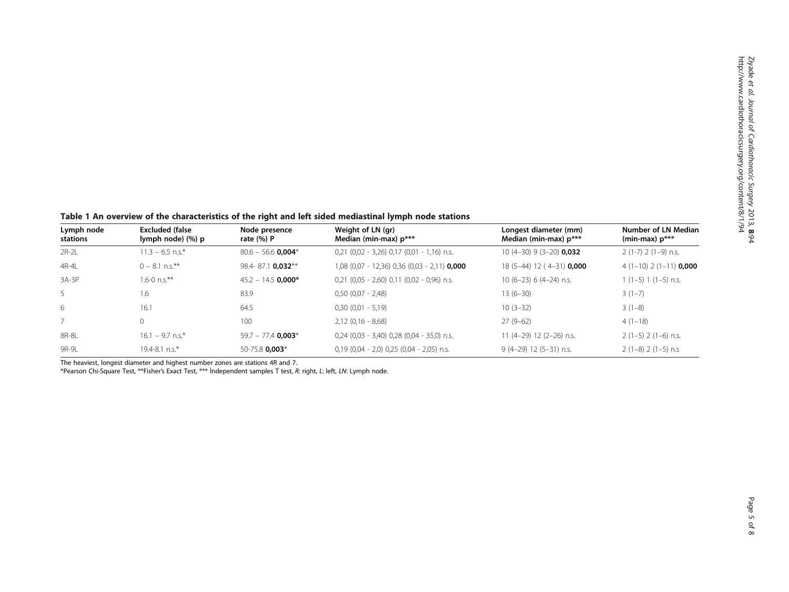<span id="page-4-0"></span>Table 1 An overview of the characteristics of the right and left sided mediastinal lymph node stations

| Lymph node<br>stations | <b>Excluded (false</b><br>lymph node) (%) p | Node presence<br>rate $(\%) P$ | Weight of LN (gr)<br>Median (min-max) p***     | Longest diameter (mm)<br>Median (min-max) p*** | Number of LN Median<br>(min-max) $p***$ |
|------------------------|---------------------------------------------|--------------------------------|------------------------------------------------|------------------------------------------------|-----------------------------------------|
| $2R-2L$                | $11.3 - 6.5$ n.s.*                          | $80.6 - 56.6$ 0.004*           | $0,21$ (0,02 - 3,26) 0,17 (0,01 - 1,16) n.s.   | $10(4-30)$ 9 (3-20) <b>0,032</b>               | $2(1-7)$ 2 $(1-9)$ n.s.                 |
| 4R-4L                  | $0 - 8.1$ n.s.**                            | 98.4-87.1 0.032**              | $1,08$ (0,07 - 12,36) 0,36 (0,03 - 2,11) 0,000 | 18 (5-44) 12 (4-31) 0,000                      | $4(1-10)$ 2 (1-11) <b>0,000</b>         |
| $3A-3P$                | $1.6 - 0$ n.s.**                            | $45.2 - 14.5$ 0.000*           | $0.21$ (0.05 - 2.60) 0.11 (0.02 - 0.96) n.s.   | $10(6-23)$ 6 (4-24) n.s.                       | $1(1-5)1(1-5)$ n.s.                     |
| 5                      | 1.6                                         | 83.9                           | $0.50(0.07 - 2.48)$                            | $13(6-30)$                                     | $3(1-7)$                                |
| 6                      | 16.1                                        | 64.5                           | $0,30(0,01 - 5,19)$                            | $10(3-32)$                                     | $3(1-8)$                                |
|                        |                                             | 100                            | $2.12(0.16 - 8.68)$                            | $27(9-62)$                                     | $4(1-18)$                               |
| 8R-8L                  | $16.1 - 9.7$ n.s.*                          | $59.7 - 77.4$ 0.003*           | $0,24$ (0,03 - 3,40) 0,28 (0,04 - 35,0) n.s.   | 11 (4-29) 12 (2-26) n.s.                       | $2(1-5)$ 2 (1-6) n.s.                   |
| 9R-9L                  | 19.4-8.1 n.s.*                              | 50-75.8 0,003*                 | $0,19$ (0,04 - 2,0) 0,25 (0,04 - 2,05) n.s.    | $9(4-29)$ 12 (5-31) n.s.                       | $2(1-8)$ 2 (1-5) n.s                    |

The heaviest, longest diameter and highest number zones are stations 4R and 7.

\*Pearson Chi-Square Test, \*\*Fisher's Exact Test, \*\*\* İndependent samples T test, R: right, L: left, LN: Lymph node.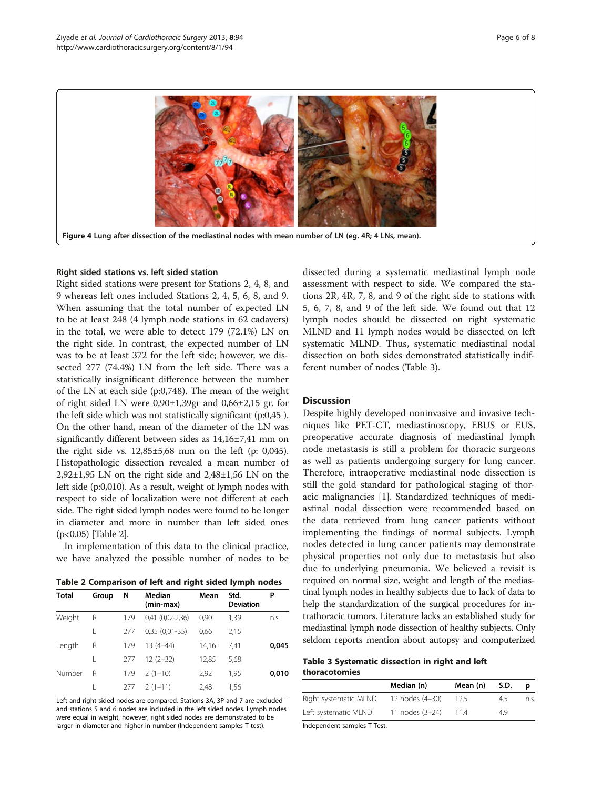<span id="page-5-0"></span>

#### Right sided stations vs. left sided station

Right sided stations were present for Stations 2, 4, 8, and 9 whereas left ones included Stations 2, 4, 5, 6, 8, and 9. When assuming that the total number of expected LN to be at least 248 (4 lymph node stations in 62 cadavers) in the total, we were able to detect 179 (72.1%) LN on the right side. In contrast, the expected number of LN was to be at least 372 for the left side; however, we dissected 277 (74.4%) LN from the left side. There was a statistically insignificant difference between the number of the LN at each side (p:0,748). The mean of the weight of right sided LN were 0,90±1,39gr and 0,66±2,15 gr. for the left side which was not statistically significant (p:0,45 ). On the other hand, mean of the diameter of the LN was significantly different between sides as 14,16±7,41 mm on the right side vs.  $12,85\pm5,68$  mm on the left (p: 0,045). Histopathologic dissection revealed a mean number of 2,92±1,95 LN on the right side and 2,48±1,56 LN on the left side (p:0,010). As a result, weight of lymph nodes with respect to side of localization were not different at each side. The right sided lymph nodes were found to be longer in diameter and more in number than left sided ones (p<0.05) [Table 2].

In implementation of this data to the clinical practice, we have analyzed the possible number of nodes to be

|  | Table 2 Comparison of left and right sided lymph nodes |  |  |  |  |
|--|--------------------------------------------------------|--|--|--|--|
|  |                                                        |  |  |  |  |

| <b>Total</b> | Group | N   | Median<br>(min-max)  | Mean  | Std.<br><b>Deviation</b> | Р     |
|--------------|-------|-----|----------------------|-------|--------------------------|-------|
| Weight       | R     | 179 | $0,41$ $(0,02-2,36)$ | 0,90  | 1,39                     | n.s.  |
|              |       | 277 | $0,35(0,01-35)$      | 0,66  | 2,15                     |       |
| Length       | R     | 179 | $13(4-44)$           | 14.16 | 7.41                     | 0,045 |
|              | L     | 277 | $12(2-32)$           | 12,85 | 5,68                     |       |
| Number       | R     | 179 | $2(1-10)$            | 2,92  | 1,95                     | 0,010 |
|              |       | 277 | $2(1-11)$            | 2.48  | 1.56                     |       |

Left and right sided nodes are compared. Stations 3A, 3P and 7 are excluded and stations 5 and 6 nodes are included in the left sided nodes. Lymph nodes were equal in weight, however, right sided nodes are demonstrated to be larger in diameter and higher in number (Independent samples T test).

dissected during a systematic mediastinal lymph node assessment with respect to side. We compared the stations 2R, 4R, 7, 8, and 9 of the right side to stations with 5, 6, 7, 8, and 9 of the left side. We found out that 12 lymph nodes should be dissected on right systematic MLND and 11 lymph nodes would be dissected on left systematic MLND. Thus, systematic mediastinal nodal dissection on both sides demonstrated statistically indifferent number of nodes (Table 3).

## **Discussion**

Despite highly developed noninvasive and invasive techniques like PET-CT, mediastinoscopy, EBUS or EUS, preoperative accurate diagnosis of mediastinal lymph node metastasis is still a problem for thoracic surgeons as well as patients undergoing surgery for lung cancer. Therefore, intraoperative mediastinal node dissection is still the gold standard for pathological staging of thoracic malignancies [\[1\]](#page-7-0). Standardized techniques of mediastinal nodal dissection were recommended based on the data retrieved from lung cancer patients without implementing the findings of normal subjects. Lymph nodes detected in lung cancer patients may demonstrate physical properties not only due to metastasis but also due to underlying pneumonia. We believed a revisit is required on normal size, weight and length of the mediastinal lymph nodes in healthy subjects due to lack of data to help the standardization of the surgical procedures for intrathoracic tumors. Literature lacks an established study for mediastinal lymph node dissection of healthy subjects. Only seldom reports mention about autopsy and computerized

#### Table 3 Systematic dissection in right and left thoracotomies

|                       | Median (n)      | Mean (n) | S.D. | D    |
|-----------------------|-----------------|----------|------|------|
| Right systematic MLND | 12 nodes (4-30) | 12.5     | 45   | n.s. |
| Left systematic MLND  | 11 nodes (3-24) | 11.4     | 4.9  |      |

Independent samples T Test.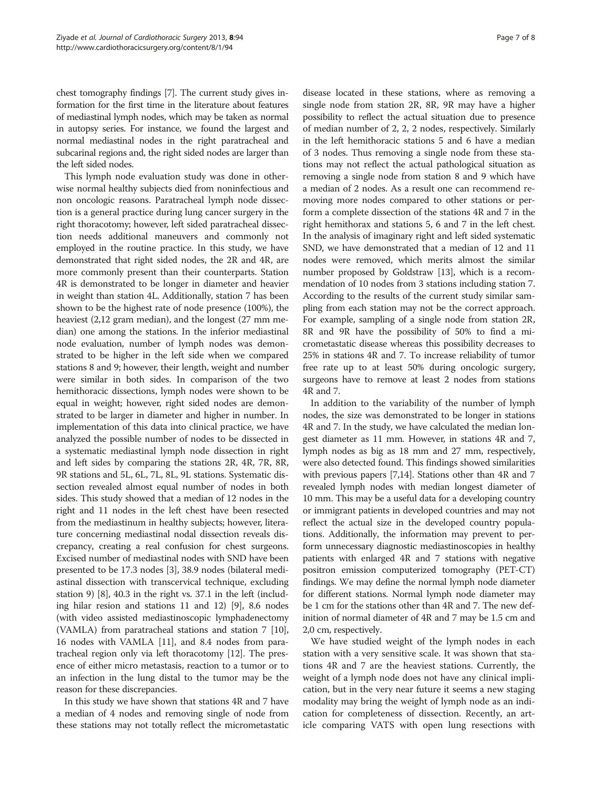chest tomography findings [\[7](#page-7-0)]. The current study gives information for the first time in the literature about features of mediastinal lymph nodes, which may be taken as normal in autopsy series. For instance, we found the largest and normal mediastinal nodes in the right paratracheal and subcarinal regions and, the right sided nodes are larger than the left sided nodes.

This lymph node evaluation study was done in otherwise normal healthy subjects died from noninfectious and non oncologic reasons. Paratracheal lymph node dissection is a general practice during lung cancer surgery in the right thoracotomy; however, left sided paratracheal dissection needs additional maneuvers and commonly not employed in the routine practice. In this study, we have demonstrated that right sided nodes, the 2R and 4R, are more commonly present than their counterparts. Station 4R is demonstrated to be longer in diameter and heavier in weight than station 4L. Additionally, station 7 has been shown to be the highest rate of node presence (100%), the heaviest (2,12 gram median), and the longest (27 mm median) one among the stations. In the inferior mediastinal node evaluation, number of lymph nodes was demonstrated to be higher in the left side when we compared stations 8 and 9; however, their length, weight and number were similar in both sides. In comparison of the two hemithoracic dissections, lymph nodes were shown to be equal in weight; however, right sided nodes are demonstrated to be larger in diameter and higher in number. In implementation of this data into clinical practice, we have analyzed the possible number of nodes to be dissected in a systematic mediastinal lymph node dissection in right and left sides by comparing the stations 2R, 4R, 7R, 8R, 9R stations and 5L, 6L, 7L, 8L, 9L stations. Systematic dissection revealed almost equal number of nodes in both sides. This study showed that a median of 12 nodes in the right and 11 nodes in the left chest have been resected from the mediastinum in healthy subjects; however, literature concerning mediastinal nodal dissection reveals discrepancy, creating a real confusion for chest surgeons. Excised number of mediastinal nodes with SND have been presented to be 17.3 nodes [\[3](#page-7-0)], 38.9 nodes (bilateral mediastinal dissection with transcervical technique, excluding station 9) [\[8\]](#page-7-0), 40.3 in the right vs. 37.1 in the left (including hilar resion and stations 11 and 12) [[9](#page-7-0)], 8.6 nodes (with video assisted mediastinoscopic lymphadenectomy (VAMLA) from paratracheal stations and station 7 [[10](#page-7-0)], 16 nodes with VAMLA [[11](#page-7-0)], and 8.4 nodes from paratracheal region only via left thoracotomy [[12](#page-7-0)]. The presence of either micro metastasis, reaction to a tumor or to an infection in the lung distal to the tumor may be the reason for these discrepancies.

In this study we have shown that stations 4R and 7 have a median of 4 nodes and removing single of node from these stations may not totally reflect the micrometastatic

disease located in these stations, where as removing a single node from station 2R, 8R, 9R may have a higher possibility to reflect the actual situation due to presence of median number of 2, 2, 2 nodes, respectively. Similarly in the left hemithoracic stations 5 and 6 have a median of 3 nodes. Thus removing a single node from these stations may not reflect the actual pathological situation as removing a single node from station 8 and 9 which have a median of 2 nodes. As a result one can recommend removing more nodes compared to other stations or perform a complete dissection of the stations 4R and 7 in the right hemithorax and stations 5, 6 and 7 in the left chest. In the analysis of imaginary right and left sided systematic SND, we have demonstrated that a median of 12 and 11 nodes were removed, which merits almost the similar number proposed by Goldstraw [[13](#page-7-0)], which is a recommendation of 10 nodes from 3 stations including station 7. According to the results of the current study similar sampling from each station may not be the correct approach. For example, sampling of a single node from station 2R, 8R and 9R have the possibility of 50% to find a micrometastatic disease whereas this possibility decreases to 25% in stations 4R and 7. To increase reliability of tumor free rate up to at least 50% during oncologic surgery, surgeons have to remove at least 2 nodes from stations 4R and 7.

In addition to the variability of the number of lymph nodes, the size was demonstrated to be longer in stations 4R and 7. In the study, we have calculated the median longest diameter as 11 mm. However, in stations 4R and 7, lymph nodes as big as 18 mm and 27 mm, respectively, were also detected found. This findings showed similarities with previous papers [\[7,14\]](#page-7-0). Stations other than 4R and 7 revealed lymph nodes with median longest diameter of 10 mm. This may be a useful data for a developing country or immigrant patients in developed countries and may not reflect the actual size in the developed country populations. Additionally, the information may prevent to perform unnecessary diagnostic mediastinoscopies in healthy patients with enlarged 4R and 7 stations with negative positron emission computerized tomography (PET-CT) findings. We may define the normal lymph node diameter for different stations. Normal lymph node diameter may be 1 cm for the stations other than 4R and 7. The new definition of normal diameter of 4R and 7 may be 1.5 cm and 2,0 cm, respectively.

We have studied weight of the lymph nodes in each station with a very sensitive scale. It was shown that stations 4R and 7 are the heaviest stations. Currently, the weight of a lymph node does not have any clinical implication, but in the very near future it seems a new staging modality may bring the weight of lymph node as an indication for completeness of dissection. Recently, an article comparing VATS with open lung resections with